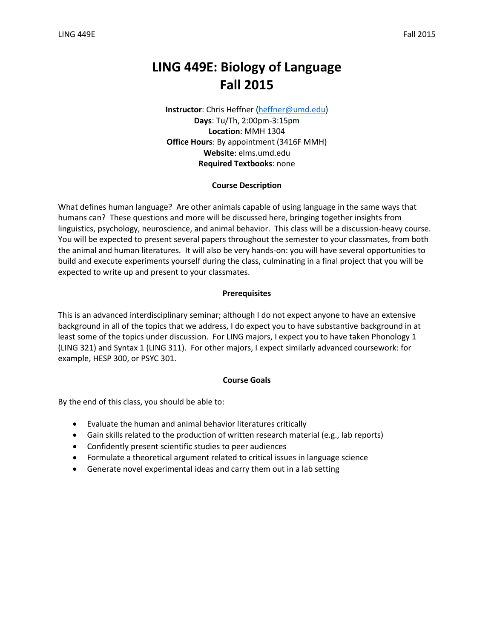# **LING 449E: Biology of Language Fall 2015**

**Instructor**: Chris Heffner [\(heffner@umd.edu\)](mailto:heffner@umd.edu) **Days**: Tu/Th, 2:00pm-3:15pm **Location**: MMH 1304 **Office Hours**: By appointment (3416F MMH) **Website**: elms.umd.edu **Required Textbooks**: none

## **Course Description**

What defines human language? Are other animals capable of using language in the same ways that humans can? These questions and more will be discussed here, bringing together insights from linguistics, psychology, neuroscience, and animal behavior. This class will be a discussion-heavy course. You will be expected to present several papers throughout the semester to your classmates, from both the animal and human literatures. It will also be very hands-on: you will have several opportunities to build and execute experiments yourself during the class, culminating in a final project that you will be expected to write up and present to your classmates.

## **Prerequisites**

This is an advanced interdisciplinary seminar; although I do not expect anyone to have an extensive background in all of the topics that we address, I do expect you to have substantive background in at least some of the topics under discussion. For LING majors, I expect you to have taken Phonology 1 (LING 321) and Syntax 1 (LING 311). For other majors, I expect similarly advanced coursework: for example, HESP 300, or PSYC 301.

#### **Course Goals**

By the end of this class, you should be able to:

- Evaluate the human and animal behavior literatures critically
- Gain skills related to the production of written research material (e.g., lab reports)
- Confidently present scientific studies to peer audiences
- Formulate a theoretical argument related to critical issues in language science
- Generate novel experimental ideas and carry them out in a lab setting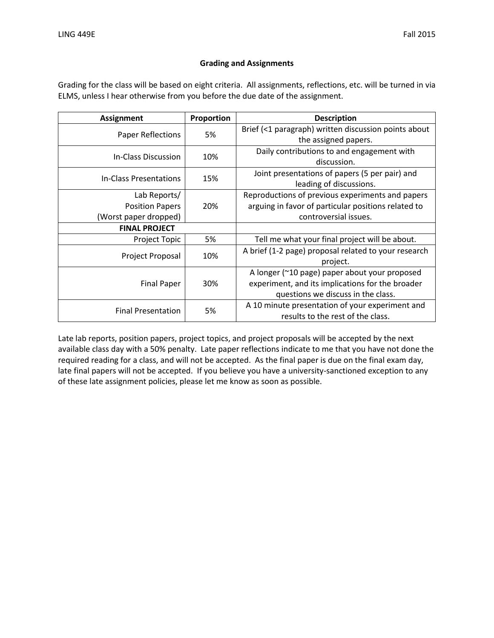# **Grading and Assignments**

Grading for the class will be based on eight criteria. All assignments, reflections, etc. will be turned in via ELMS, unless I hear otherwise from you before the due date of the assignment.

| <b>Assignment</b>         | Proportion | <b>Description</b>                                   |  |
|---------------------------|------------|------------------------------------------------------|--|
| Paper Reflections         | 5%         | Brief (<1 paragraph) written discussion points about |  |
|                           |            | the assigned papers.                                 |  |
| In-Class Discussion       | 10%        | Daily contributions to and engagement with           |  |
|                           |            | discussion.                                          |  |
| In-Class Presentations    | 15%        | Joint presentations of papers (5 per pair) and       |  |
|                           |            | leading of discussions.                              |  |
| Lab Reports/              |            | Reproductions of previous experiments and papers     |  |
| <b>Position Papers</b>    | 20%        | arguing in favor of particular positions related to  |  |
| (Worst paper dropped)     |            | controversial issues.                                |  |
| <b>FINAL PROJECT</b>      |            |                                                      |  |
| <b>Project Topic</b>      | 5%         | Tell me what your final project will be about.       |  |
|                           | 10%        | A brief (1-2 page) proposal related to your research |  |
| Project Proposal          |            | project.                                             |  |
|                           | 30%        | A longer (~10 page) paper about your proposed        |  |
| <b>Final Paper</b>        |            | experiment, and its implications for the broader     |  |
|                           |            | questions we discuss in the class.                   |  |
|                           |            | A 10 minute presentation of your experiment and      |  |
| <b>Final Presentation</b> | 5%         | results to the rest of the class.                    |  |

Late lab reports, position papers, project topics, and project proposals will be accepted by the next available class day with a 50% penalty. Late paper reflections indicate to me that you have not done the required reading for a class, and will not be accepted. As the final paper is due on the final exam day, late final papers will not be accepted. If you believe you have a university-sanctioned exception to any of these late assignment policies, please let me know as soon as possible.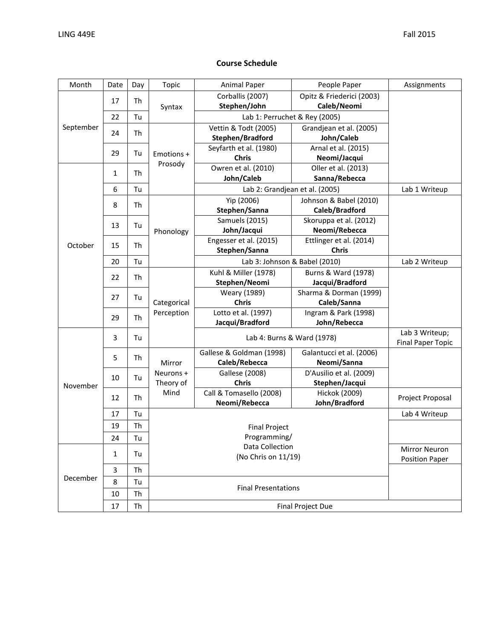# **Course Schedule**

| Month                | Date     | Day                                    | Topic                      | <b>Animal Paper</b>            | People Paper                          | Assignments      |  |
|----------------------|----------|----------------------------------------|----------------------------|--------------------------------|---------------------------------------|------------------|--|
| September<br>October |          |                                        | Syntax                     | Corballis (2007)               | Opitz & Friederici (2003)             |                  |  |
|                      | 17       | Th                                     |                            | Stephen/John                   | Caleb/Neomi                           |                  |  |
|                      | 22       | Tu                                     |                            | Lab 1: Perruchet & Rey (2005)  |                                       |                  |  |
|                      |          |                                        |                            | Vettin & Todt (2005)           | Grandjean et al. (2005)               |                  |  |
|                      | 24<br>Th | Emotions +<br>Prosody                  | Stephen/Bradford           | John/Caleb                     |                                       |                  |  |
|                      | 29<br>Tu |                                        | Seyfarth et al. (1980)     | Arnal et al. (2015)            |                                       |                  |  |
|                      |          |                                        | <b>Chris</b>               | Neomi/Jacqui                   |                                       |                  |  |
|                      | Th<br>1  |                                        | Owren et al. (2010)        | Oller et al. (2013)            |                                       |                  |  |
|                      |          |                                        | John/Caleb                 | Sanna/Rebecca                  |                                       |                  |  |
|                      | 6        | Tu                                     |                            | Lab 2: Grandjean et al. (2005) | Lab 1 Writeup                         |                  |  |
|                      | 8<br>Th  |                                        | Yip (2006)                 | Johnson & Babel (2010)         |                                       |                  |  |
|                      |          |                                        | Stephen/Sanna              | Caleb/Bradford                 |                                       |                  |  |
|                      | 13       | Tu                                     |                            | Samuels (2015)                 | Skoruppa et al. (2012)                |                  |  |
|                      |          | Phonology                              | John/Jacqui                | Neomi/Rebecca                  |                                       |                  |  |
|                      | 15       | Th                                     |                            | Engesser et al. (2015)         | Ettlinger et al. (2014)               |                  |  |
|                      |          |                                        |                            | Stephen/Sanna                  | <b>Chris</b>                          |                  |  |
|                      | 20       | Tu                                     |                            | Lab 3: Johnson & Babel (2010)  |                                       | Lab 2 Writeup    |  |
|                      | 22       | Th                                     | Categorical<br>Perception  | Kuhl & Miller (1978)           | Burns & Ward (1978)                   |                  |  |
|                      |          |                                        |                            | Stephen/Neomi                  | Jacqui/Bradford                       |                  |  |
|                      | 27       | Tu                                     |                            | Weary (1989)<br><b>Chris</b>   | Sharma & Dorman (1999)<br>Caleb/Sanna |                  |  |
|                      |          |                                        |                            | Lotto et al. (1997)            | Ingram & Park (1998)                  |                  |  |
|                      | Th<br>29 |                                        | Jacqui/Bradford            | John/Rebecca                   |                                       |                  |  |
|                      |          |                                        |                            | Lab 3 Writeup;                 |                                       |                  |  |
| November             | 3<br>Tu  |                                        | Lab 4: Burns & Ward (1978) |                                | <b>Final Paper Topic</b>              |                  |  |
|                      |          |                                        | Mirror                     | Gallese & Goldman (1998)       | Galantucci et al. (2006)              |                  |  |
|                      |          | 5<br>Th                                |                            | Caleb/Rebecca                  | Neomi/Sanna                           |                  |  |
|                      | 10       | Tu                                     | Neurons +                  | <b>Gallese (2008)</b>          | D'Ausilio et al. (2009)               |                  |  |
|                      |          | Theory of                              | <b>Chris</b>               | Stephen/Jacqui                 |                                       |                  |  |
|                      | 12       | Th                                     | Mind                       | Call & Tomasello (2008)        | Hickok (2009)                         | Project Proposal |  |
|                      |          |                                        |                            | Neomi/Rebecca                  | John/Bradford                         |                  |  |
|                      | 17       | Tu                                     |                            | Lab 4 Writeup                  |                                       |                  |  |
|                      | 19       | Th                                     |                            |                                |                                       |                  |  |
|                      | 24       | Tu                                     |                            |                                |                                       |                  |  |
| December             | 1<br>Tu  | Data Collection<br>(No Chris on 11/19) |                            |                                | <b>Mirror Neuron</b>                  |                  |  |
|                      |          |                                        |                            | <b>Position Paper</b>          |                                       |                  |  |
|                      | 3        | Th                                     |                            |                                |                                       |                  |  |
|                      | 8        | Tu                                     |                            |                                |                                       |                  |  |
|                      | 10       | Th                                     |                            | <b>Final Presentations</b>     |                                       |                  |  |
|                      | 17       | Th                                     |                            | <b>Final Project Due</b>       |                                       |                  |  |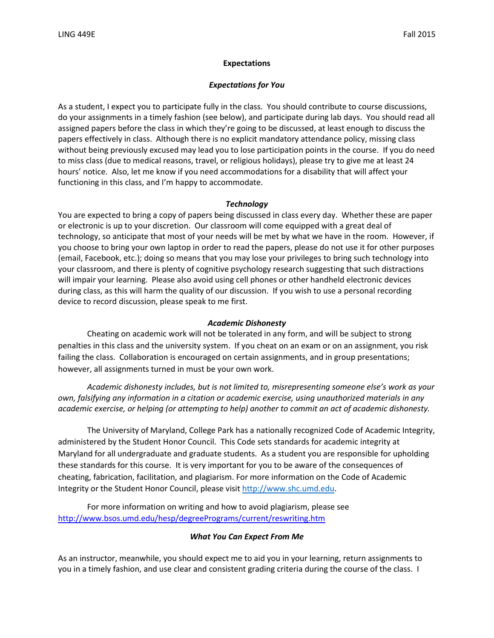#### **Expectations**

#### *Expectations for You*

As a student, I expect you to participate fully in the class. You should contribute to course discussions, do your assignments in a timely fashion (see below), and participate during lab days. You should read all assigned papers before the class in which they're going to be discussed, at least enough to discuss the papers effectively in class. Although there is no explicit mandatory attendance policy, missing class without being previously excused may lead you to lose participation points in the course. If you do need to miss class (due to medical reasons, travel, or religious holidays), please try to give me at least 24 hours' notice. Also, let me know if you need accommodations for a disability that will affect your functioning in this class, and I'm happy to accommodate.

#### *Technology*

You are expected to bring a copy of papers being discussed in class every day. Whether these are paper or electronic is up to your discretion. Our classroom will come equipped with a great deal of technology, so anticipate that most of your needs will be met by what we have in the room. However, if you choose to bring your own laptop in order to read the papers, please do not use it for other purposes (email, Facebook, etc.); doing so means that you may lose your privileges to bring such technology into your classroom, and there is plenty of cognitive psychology research suggesting that such distractions will impair your learning. Please also avoid using cell phones or other handheld electronic devices during class, as this will harm the quality of our discussion. If you wish to use a personal recording device to record discussion, please speak to me first.

#### *Academic Dishonesty*

Cheating on academic work will not be tolerated in any form, and will be subject to strong penalties in this class and the university system. If you cheat on an exam or on an assignment, you risk failing the class. Collaboration is encouraged on certain assignments, and in group presentations; however, all assignments turned in must be your own work.

*Academic dishonesty includes, but is not limited to, misrepresenting someone else's work as your own, falsifying any information in a citation or academic exercise, using unauthorized materials in any academic exercise, or helping (or attempting to help) another to commit an act of academic dishonesty.*

The University of Maryland, College Park has a nationally recognized Code of Academic Integrity, administered by the Student Honor Council. This Code sets standards for academic integrity at Maryland for all undergraduate and graduate students. As a student you are responsible for upholding these standards for this course. It is very important for you to be aware of the consequences of cheating, fabrication, facilitation, and plagiarism. For more information on the Code of Academic Integrity or the Student Honor Council, please visit [http://www.shc.umd.edu.](http://www.shc.umd.edu/)

For more information on writing and how to avoid plagiarism, please see http://www.bsos.umd.edu/hesp/degreePrograms/current/reswriting.htm

#### *What You Can Expect From Me*

As an instructor, meanwhile, you should expect me to aid you in your learning, return assignments to you in a timely fashion, and use clear and consistent grading criteria during the course of the class. I